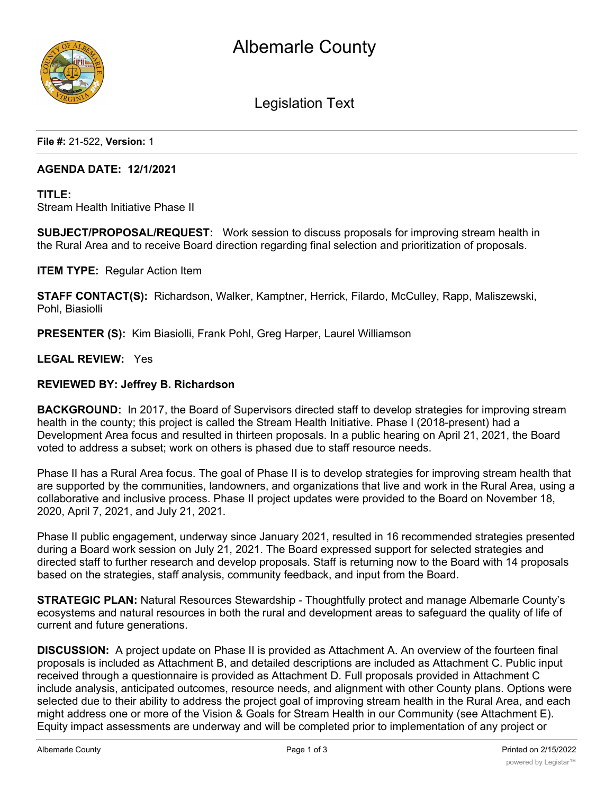

Legislation Text

**File #:** 21-522, **Version:** 1

### **AGENDA DATE: 12/1/2021**

## **TITLE:** Stream Health Initiative Phase II

**SUBJECT/PROPOSAL/REQUEST:** Work session to discuss proposals for improving stream health in the Rural Area and to receive Board direction regarding final selection and prioritization of proposals.

**ITEM TYPE:** Regular Action Item

**STAFF CONTACT(S):** Richardson, Walker, Kamptner, Herrick, Filardo, McCulley, Rapp, Maliszewski, Pohl, Biasiolli

**PRESENTER (S):** Kim Biasiolli, Frank Pohl, Greg Harper, Laurel Williamson

### **LEGAL REVIEW:** Yes

### **REVIEWED BY: Jeffrey B. Richardson**

**BACKGROUND:** In 2017, the Board of Supervisors directed staff to develop strategies for improving stream health in the county; this project is called the Stream Health Initiative. Phase I (2018-present) had a Development Area focus and resulted in thirteen proposals. In a public hearing on April 21, 2021, the Board voted to address a subset; work on others is phased due to staff resource needs.

Phase II has a Rural Area focus. The goal of Phase II is to develop strategies for improving stream health that are supported by the communities, landowners, and organizations that live and work in the Rural Area, using a collaborative and inclusive process. Phase II project updates were provided to the Board on November 18, 2020, April 7, 2021, and July 21, 2021.

Phase II public engagement, underway since January 2021, resulted in 16 recommended strategies presented during a Board work session on July 21, 2021. The Board expressed support for selected strategies and directed staff to further research and develop proposals. Staff is returning now to the Board with 14 proposals based on the strategies, staff analysis, community feedback, and input from the Board.

**STRATEGIC PLAN:** Natural Resources Stewardship - Thoughtfully protect and manage Albemarle County's ecosystems and natural resources in both the rural and development areas to safeguard the quality of life of current and future generations.

**DISCUSSION:** A project update on Phase II is provided as Attachment A. An overview of the fourteen final proposals is included as Attachment B, and detailed descriptions are included as Attachment C. Public input received through a questionnaire is provided as Attachment D. Full proposals provided in Attachment C include analysis, anticipated outcomes, resource needs, and alignment with other County plans. Options were selected due to their ability to address the project goal of improving stream health in the Rural Area, and each might address one or more of the Vision & Goals for Stream Health in our Community (see Attachment E). Equity impact assessments are underway and will be completed prior to implementation of any project or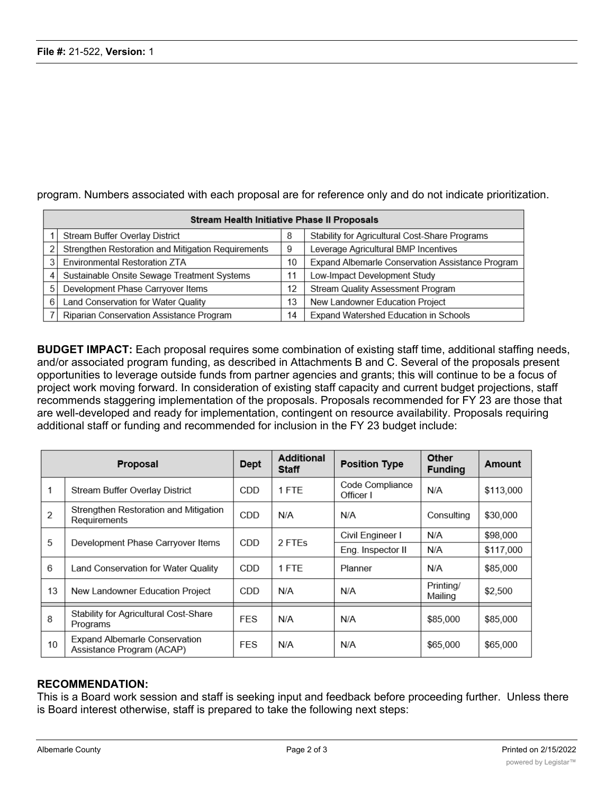| Stream Health Initiative Phase II Proposals |                                                    |    |                                                  |  |  |  |  |  |  |
|---------------------------------------------|----------------------------------------------------|----|--------------------------------------------------|--|--|--|--|--|--|
|                                             | Stream Buffer Overlay District                     | 8  | Stability for Agricultural Cost-Share Programs   |  |  |  |  |  |  |
|                                             | Strengthen Restoration and Mitigation Requirements | 9  | Leverage Agricultural BMP Incentives             |  |  |  |  |  |  |
| 31                                          | Environmental Restoration ZTA                      | 10 | Expand Albemarle Conservation Assistance Program |  |  |  |  |  |  |
| 4                                           | Sustainable Onsite Sewage Treatment Systems        | 11 | Low-Impact Development Study                     |  |  |  |  |  |  |
| 5                                           | Development Phase Carryover Items                  | 12 | Stream Quality Assessment Program                |  |  |  |  |  |  |
| 6                                           | Land Conservation for Water Quality                | 13 | New Landowner Education Project                  |  |  |  |  |  |  |
|                                             | Riparian Conservation Assistance Program           | 14 | Expand Watershed Education in Schools            |  |  |  |  |  |  |

program. Numbers associated with each proposal are for reference only and do not indicate prioritization.

**BUDGET IMPACT:** Each proposal requires some combination of existing staff time, additional staffing needs, and/or associated program funding, as described in Attachments B and C. Several of the proposals present opportunities to leverage outside funds from partner agencies and grants; this will continue to be a focus of project work moving forward. In consideration of existing staff capacity and current budget projections, staff recommends staggering implementation of the proposals. Proposals recommended for FY 23 are those that are well-developed and ready for implementation, contingent on resource availability. Proposals requiring additional staff or funding and recommended for inclusion in the FY 23 budget include:

| <b>Proposal</b> |                                                            | <b>Dept</b> | <b>Additional</b><br><b>Staff</b> | <b>Position Type</b>         | Other<br><b>Funding</b> | Amount    |
|-----------------|------------------------------------------------------------|-------------|-----------------------------------|------------------------------|-------------------------|-----------|
| 1               | Stream Buffer Overlay District                             | CDD.        | 1 FTF                             | Code Compliance<br>Officer I | N/A                     | \$113,000 |
| $\overline{2}$  | Strengthen Restoration and Mitigation<br>Requirements      | <b>CDD</b>  | N/A                               | N/A                          | Consulting              | \$30,000  |
| 5               | Development Phase Carryover Items                          | <b>CDD</b>  | 2 FTEs                            | Civil Engineer I             | N/A                     | \$98,000  |
|                 |                                                            |             |                                   | Eng. Inspector II            | N/A                     | \$117,000 |
| 6               | Land Conservation for Water Quality                        | <b>CDD</b>  | 1 FTE                             | Planner                      | N/A                     | \$85,000  |
| 13              | New Landowner Education Project                            | <b>CDD</b>  | N/A                               | N/A                          | Printing/<br>Mailing    | \$2,500   |
| 8               | <b>Stability for Agricultural Cost-Share</b><br>Programs   | <b>FES</b>  | N/A                               | N/A                          | \$85,000                | \$85,000  |
| 10              | Expand Albemarle Conservation<br>Assistance Program (ACAP) | <b>FES</b>  | N/A                               | N/A                          | \$65,000                | \$65,000  |

### **RECOMMENDATION:**

This is a Board work session and staff is seeking input and feedback before proceeding further. Unless there is Board interest otherwise, staff is prepared to take the following next steps: